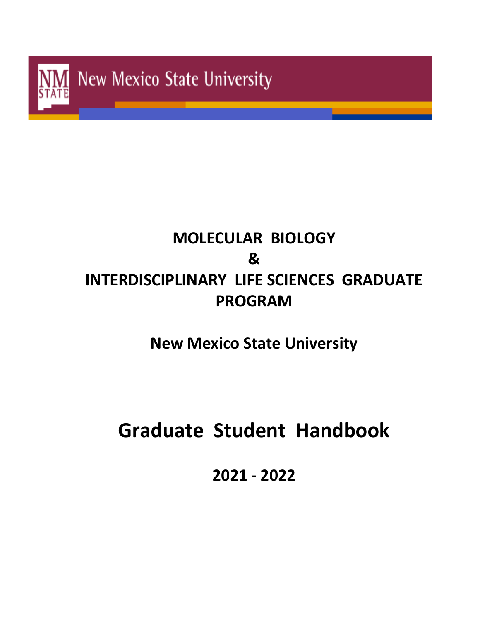

# **MOLECULAR BIOLOGY & INTERDISCIPLINARY LIFE SCIENCES GRADUATE PROGRAM**

**New Mexico State University**

# **Graduate Student Handbook**

**2021 - 2022**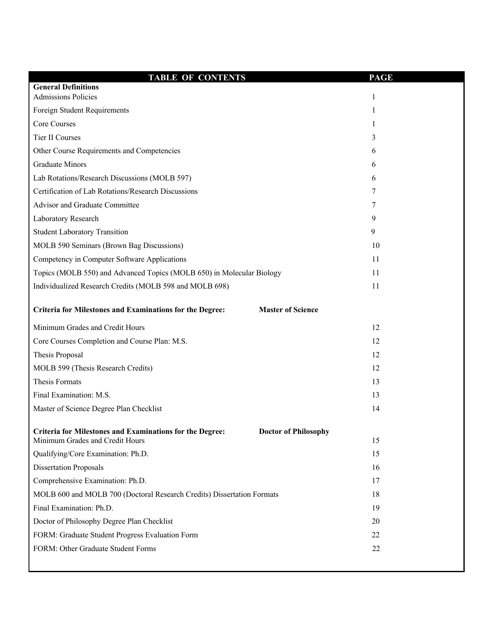| <b>TABLE OF CONTENTS</b>                                                                           | <b>PAGE</b>                       |
|----------------------------------------------------------------------------------------------------|-----------------------------------|
| <b>General Definitions</b>                                                                         |                                   |
| <b>Admissions Policies</b>                                                                         | $\mathbf{1}$                      |
| Foreign Student Requirements                                                                       | 1                                 |
| Core Courses                                                                                       | 1                                 |
| Tier II Courses                                                                                    | 3                                 |
| Other Course Requirements and Competencies                                                         | 6                                 |
| <b>Graduate Minors</b>                                                                             | 6                                 |
| Lab Rotations/Research Discussions (MOLB 597)                                                      | 6                                 |
| Certification of Lab Rotations/Research Discussions                                                | 7                                 |
| Advisor and Graduate Committee                                                                     | 7                                 |
| Laboratory Research                                                                                | 9                                 |
| <b>Student Laboratory Transition</b>                                                               | 9                                 |
| MOLB 590 Seminars (Brown Bag Discussions)                                                          | 10                                |
| Competency in Computer Software Applications                                                       | 11                                |
| Topics (MOLB 550) and Advanced Topics (MOLB 650) in Molecular Biology                              | 11                                |
| Individualized Research Credits (MOLB 598 and MOLB 698)                                            | 11                                |
|                                                                                                    |                                   |
| Criteria for Milestones and Examinations for the Degree:                                           | <b>Master of Science</b>          |
| Minimum Grades and Credit Hours                                                                    | 12                                |
| Core Courses Completion and Course Plan: M.S.                                                      | 12                                |
| Thesis Proposal                                                                                    | 12                                |
| MOLB 599 (Thesis Research Credits)                                                                 | 12                                |
| Thesis Formats                                                                                     | 13                                |
| Final Examination: M.S.                                                                            | 13                                |
| Master of Science Degree Plan Checklist                                                            | 14                                |
|                                                                                                    |                                   |
| <b>Criteria for Milestones and Examinations for the Degree:</b><br>Minimum Grades and Credit Hours | <b>Doctor of Philosophy</b><br>15 |
| Qualifying/Core Examination: Ph.D.                                                                 | 15                                |
| <b>Dissertation Proposals</b>                                                                      | 16                                |
| Comprehensive Examination: Ph.D.                                                                   | 17                                |
| MOLB 600 and MOLB 700 (Doctoral Research Credits) Dissertation Formats                             | 18                                |
| Final Examination: Ph.D.                                                                           | 19                                |
| Doctor of Philosophy Degree Plan Checklist                                                         | 20                                |
| FORM: Graduate Student Progress Evaluation Form                                                    | 22                                |
| FORM: Other Graduate Student Forms                                                                 | 22                                |
|                                                                                                    |                                   |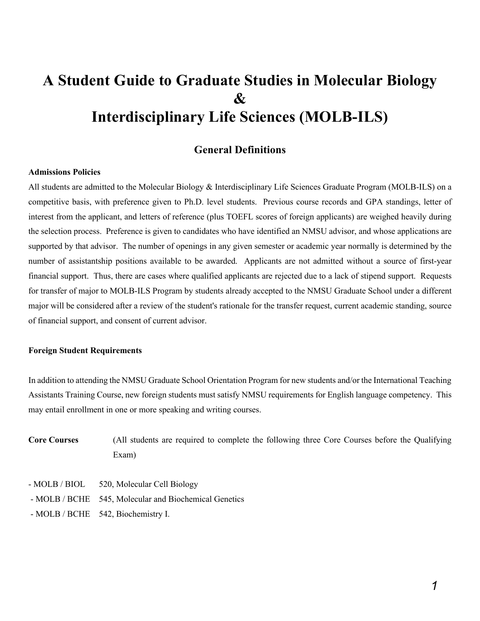# **A Student Guide to Graduate Studies in Molecular Biology & Interdisciplinary Life Sciences (MOLB-ILS)**

### **General Definitions**

#### **Admissions Policies**

All students are admitted to the Molecular Biology & Interdisciplinary Life Sciences Graduate Program (MOLB-ILS) on a competitive basis, with preference given to Ph.D. level students. Previous course records and GPA standings, letter of interest from the applicant, and letters of reference (plus TOEFL scores of foreign applicants) are weighed heavily during the selection process. Preference is given to candidates who have identified an NMSU advisor, and whose applications are supported by that advisor. The number of openings in any given semester or academic year normally is determined by the number of assistantship positions available to be awarded. Applicants are not admitted without a source of first-year financial support. Thus, there are cases where qualified applicants are rejected due to a lack of stipend support. Requests for transfer of major to MOLB-ILS Program by students already accepted to the NMSU Graduate School under a different major will be considered after a review of the student's rationale for the transfer request, current academic standing, source of financial support, and consent of current advisor.

#### **Foreign Student Requirements**

In addition to attending the NMSU Graduate School Orientation Program for new students and/or the International Teaching Assistants Training Course, new foreign students must satisfy NMSU requirements for English language competency. This may entail enrollment in one or more speaking and writing courses.

- **Core Courses** (All students are required to complete the following three Core Courses before the Qualifying Exam)
- MOLB / BIOL 520, Molecular Cell Biology
- MOLB / BCHE 545, Molecular and Biochemical Genetics
- MOLB / BCHE 542, Biochemistry I.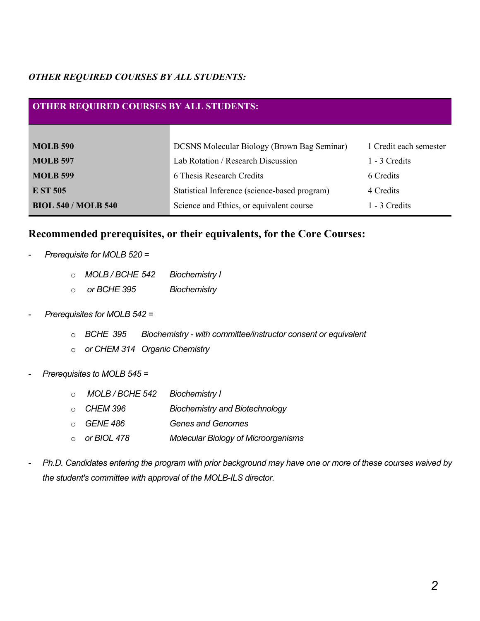### *OTHER REQUIRED COURSES BY ALL STUDENTS:*

### **OTHER REQUIRED COURSES BY ALL STUDENTS:**

| <b>MOLB 590</b>            | <b>DCSNS Molecular Biology (Brown Bag Seminar)</b> | 1 Credit each semester |
|----------------------------|----------------------------------------------------|------------------------|
| <b>MOLB 597</b>            | Lab Rotation / Research Discussion                 | 1 - 3 Credits          |
| <b>MOLB 599</b>            | 6 Thesis Research Credits                          | 6 Credits              |
| <b>E ST 505</b>            | Statistical Inference (science-based program)      | 4 Credits              |
| <b>BIOL 540 / MOLB 540</b> | Science and Ethics, or equivalent course           | 1 - 3 Credits          |

### **Recommended prerequisites, or their equivalents, for the Core Courses:**

- *Prerequisite for MOLB 520 =* 
	- o *MOLB / BCHE 542 Biochemistry I*
	- o *or BCHE 395 Biochemistry*
- *Prerequisites for MOLB 542 =* 
	- o *BCHE 395 Biochemistry - with committee/instructor consent or equivalent*
	- o *or CHEM 314 Organic Chemistry*
- *Prerequisites to MOLB 545 =*
	- o *MOLB / BCHE 542 Biochemistry I*
	- o *CHEM 396 Biochemistry and Biotechnology*
	- o *GENE 486 Genes and Genomes*
	- o *or BIOL 478 Molecular Biology of Microorganisms*
- *Ph.D. Candidates entering the program with prior background may have one or more of these courses waived by the student's committee with approval of the MOLB-ILS director.*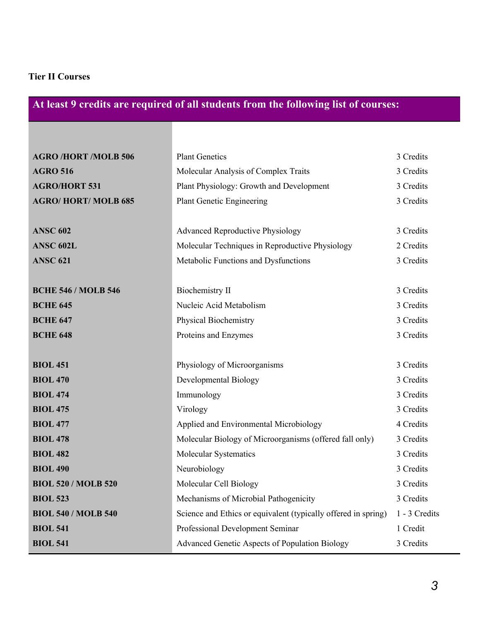### **Tier II Courses**

# **At least 9 credits are required of all students from the following list of courses:**

| <b>AGRO /HORT /MOLB 506</b> | <b>Plant Genetics</b>                                          | 3 Credits     |
|-----------------------------|----------------------------------------------------------------|---------------|
| <b>AGRO 516</b>             | Molecular Analysis of Complex Traits                           | 3 Credits     |
| <b>AGRO/HORT 531</b>        | Plant Physiology: Growth and Development                       | 3 Credits     |
| <b>AGRO/HORT/MOLB 685</b>   | <b>Plant Genetic Engineering</b>                               | 3 Credits     |
|                             |                                                                |               |
| <b>ANSC 602</b>             | <b>Advanced Reproductive Physiology</b>                        | 3 Credits     |
| <b>ANSC 602L</b>            | Molecular Techniques in Reproductive Physiology                | 2 Credits     |
| <b>ANSC 621</b>             | Metabolic Functions and Dysfunctions                           | 3 Credits     |
|                             |                                                                |               |
| <b>BCHE 546 / MOLB 546</b>  | <b>Biochemistry II</b>                                         | 3 Credits     |
| <b>BCHE 645</b>             | Nucleic Acid Metabolism                                        | 3 Credits     |
| <b>BCHE 647</b>             | Physical Biochemistry                                          | 3 Credits     |
| <b>BCHE 648</b>             | Proteins and Enzymes                                           | 3 Credits     |
|                             |                                                                |               |
| <b>BIOL 451</b>             | Physiology of Microorganisms                                   | 3 Credits     |
| <b>BIOL 470</b>             | Developmental Biology                                          | 3 Credits     |
| <b>BIOL 474</b>             | Immunology                                                     | 3 Credits     |
| <b>BIOL 475</b>             | Virology                                                       | 3 Credits     |
| <b>BIOL 477</b>             | Applied and Environmental Microbiology                         | 4 Credits     |
| <b>BIOL 478</b>             | Molecular Biology of Microorganisms (offered fall only)        | 3 Credits     |
| <b>BIOL 482</b>             | Molecular Systematics                                          | 3 Credits     |
| <b>BIOL 490</b>             | Neurobiology                                                   | 3 Credits     |
| <b>BIOL 520 / MOLB 520</b>  | Molecular Cell Biology                                         | 3 Credits     |
| <b>BIOL 523</b>             | Mechanisms of Microbial Pathogenicity                          | 3 Credits     |
| <b>BIOL 540 / MOLB 540</b>  | Science and Ethics or equivalent (typically offered in spring) | 1 - 3 Credits |
| <b>BIOL 541</b>             | Professional Development Seminar                               | 1 Credit      |
| <b>BIOL 541</b>             | Advanced Genetic Aspects of Population Biology                 | 3 Credits     |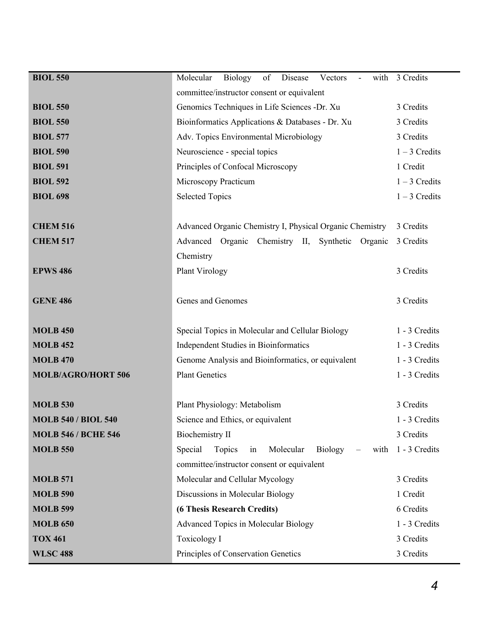| <b>BIOL 550</b>            | Molecular<br>Biology<br>of Disease<br>Vectors<br>$\blacksquare$ | with 3 Credits  |
|----------------------------|-----------------------------------------------------------------|-----------------|
|                            | committee/instructor consent or equivalent                      |                 |
| <b>BIOL 550</b>            | Genomics Techniques in Life Sciences -Dr. Xu                    | 3 Credits       |
| <b>BIOL 550</b>            | Bioinformatics Applications & Databases - Dr. Xu                | 3 Credits       |
| <b>BIOL 577</b>            | Adv. Topics Environmental Microbiology                          | 3 Credits       |
| <b>BIOL 590</b>            | Neuroscience - special topics                                   | $1 - 3$ Credits |
| <b>BIOL 591</b>            | Principles of Confocal Microscopy                               | 1 Credit        |
| <b>BIOL 592</b>            | Microscopy Practicum                                            | $1 - 3$ Credits |
| <b>BIOL 698</b>            | <b>Selected Topics</b>                                          | $1 - 3$ Credits |
|                            |                                                                 |                 |
| <b>CHEM 516</b>            | Advanced Organic Chemistry I, Physical Organic Chemistry        | 3 Credits       |
| <b>CHEM 517</b>            | Advanced Organic Chemistry II, Synthetic Organic                | 3 Credits       |
|                            | Chemistry                                                       |                 |
| <b>EPWS 486</b>            | Plant Virology                                                  | 3 Credits       |
|                            |                                                                 |                 |
| <b>GENE 486</b>            | Genes and Genomes                                               | 3 Credits       |
|                            |                                                                 |                 |
| <b>MOLB 450</b>            | Special Topics in Molecular and Cellular Biology                | 1 - 3 Credits   |
| <b>MOLB 452</b>            | Independent Studies in Bioinformatics                           | 1 - 3 Credits   |
| <b>MOLB 470</b>            | Genome Analysis and Bioinformatics, or equivalent               | 1 - 3 Credits   |
| <b>MOLB/AGRO/HORT 506</b>  | <b>Plant Genetics</b>                                           | 1 - 3 Credits   |
|                            |                                                                 |                 |
| <b>MOLB 530</b>            | Plant Physiology: Metabolism                                    | 3 Credits       |
| <b>MOLB 540 / BIOL 540</b> | Science and Ethics, or equivalent                               | 1 - 3 Credits   |
| <b>MOLB 546 / BCHE 546</b> | Biochemistry II                                                 | 3 Credits       |
| <b>MOLB 550</b>            | Special<br>Topics<br>Molecular<br>Biology<br>in<br>with         | 1 - 3 Credits   |
|                            | committee/instructor consent or equivalent                      |                 |
| <b>MOLB 571</b>            | Molecular and Cellular Mycology                                 | 3 Credits       |
| <b>MOLB 590</b>            | Discussions in Molecular Biology                                | 1 Credit        |
| <b>MOLB 599</b>            | (6 Thesis Research Credits)                                     | 6 Credits       |
| <b>MOLB 650</b>            | Advanced Topics in Molecular Biology                            | 1 - 3 Credits   |
| <b>TOX 461</b>             | Toxicology I                                                    | 3 Credits       |
| <b>WLSC 488</b>            | Principles of Conservation Genetics                             | 3 Credits       |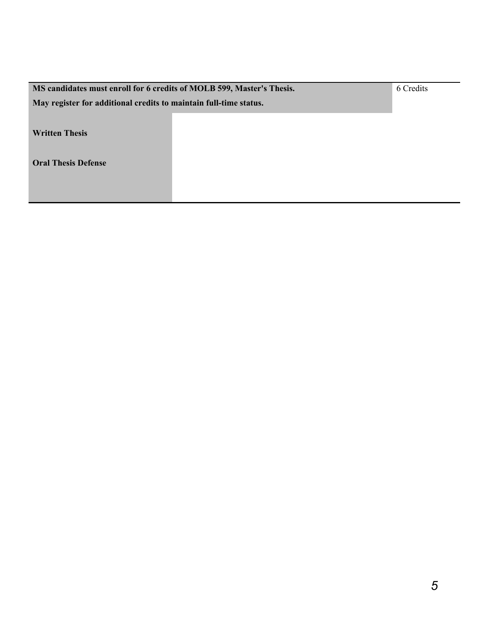| MS candidates must enroll for 6 credits of MOLB 599, Master's Thesis. |  | 6 Credits |
|-----------------------------------------------------------------------|--|-----------|
| May register for additional credits to maintain full-time status.     |  |           |
|                                                                       |  |           |
| <b>Written Thesis</b>                                                 |  |           |
|                                                                       |  |           |
| <b>Oral Thesis Defense</b>                                            |  |           |
|                                                                       |  |           |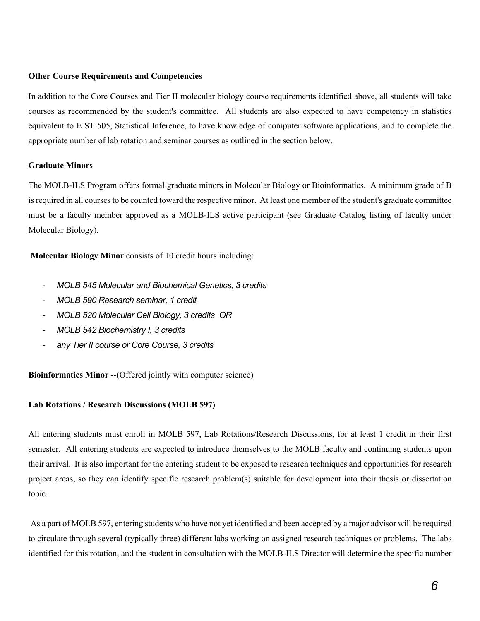#### **Other Course Requirements and Competencies**

In addition to the Core Courses and Tier II molecular biology course requirements identified above, all students will take courses as recommended by the student's committee. All students are also expected to have competency in statistics equivalent to E ST 505, Statistical Inference, to have knowledge of computer software applications, and to complete the appropriate number of lab rotation and seminar courses as outlined in the section below.

#### **Graduate Minors**

The MOLB-ILS Program offers formal graduate minors in Molecular Biology or Bioinformatics. A minimum grade of B is required in all courses to be counted toward the respective minor. At least one member of the student's graduate committee must be a faculty member approved as a MOLB-ILS active participant (see Graduate Catalog listing of faculty under Molecular Biology).

**Molecular Biology Minor** consists of 10 credit hours including:

- *MOLB 545 Molecular and Biochemical Genetics, 3 credits*
- *MOLB 590 Research seminar, 1 credit*
- *MOLB 520 Molecular Cell Biology, 3 credits OR*
- *MOLB 542 Biochemistry I, 3 credits*
- *any Tier II course or Core Course, 3 credits*

**Bioinformatics Minor** --(Offered jointly with computer science)

#### **Lab Rotations / Research Discussions (MOLB 597)**

All entering students must enroll in MOLB 597, Lab Rotations/Research Discussions, for at least 1 credit in their first semester. All entering students are expected to introduce themselves to the MOLB faculty and continuing students upon their arrival. It is also important for the entering student to be exposed to research techniques and opportunities for research project areas, so they can identify specific research problem(s) suitable for development into their thesis or dissertation topic.

As a part of MOLB 597, entering students who have not yet identified and been accepted by a major advisor will be required to circulate through several (typically three) different labs working on assigned research techniques or problems. The labs identified for this rotation, and the student in consultation with the MOLB-ILS Director will determine the specific number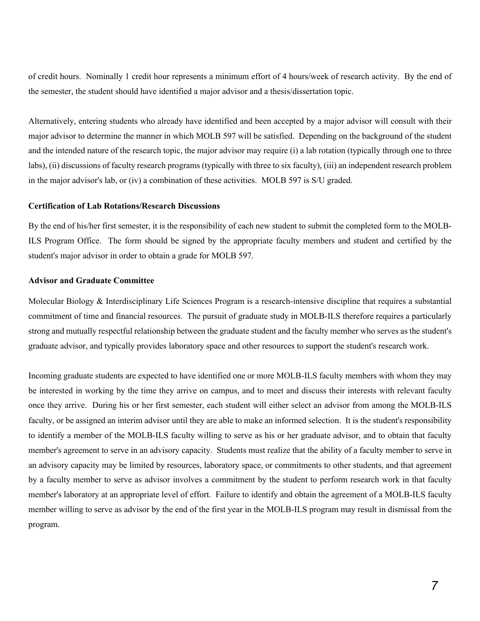of credit hours. Nominally 1 credit hour represents a minimum effort of 4 hours/week of research activity. By the end of the semester, the student should have identified a major advisor and a thesis/dissertation topic.

Alternatively, entering students who already have identified and been accepted by a major advisor will consult with their major advisor to determine the manner in which MOLB 597 will be satisfied. Depending on the background of the student and the intended nature of the research topic, the major advisor may require (i) a lab rotation (typically through one to three labs), (ii) discussions of faculty research programs (typically with three to six faculty), (iii) an independent research problem in the major advisor's lab, or (iv) a combination of these activities. MOLB 597 is S/U graded.

#### **Certification of Lab Rotations/Research Discussions**

By the end of his/her first semester, it is the responsibility of each new student to submit the completed form to the MOLB-ILS Program Office. The form should be signed by the appropriate faculty members and student and certified by the student's major advisor in order to obtain a grade for MOLB 597.

#### **Advisor and Graduate Committee**

Molecular Biology & Interdisciplinary Life Sciences Program is a research-intensive discipline that requires a substantial commitment of time and financial resources. The pursuit of graduate study in MOLB-ILS therefore requires a particularly strong and mutually respectful relationship between the graduate student and the faculty member who serves as the student's graduate advisor, and typically provides laboratory space and other resources to support the student's research work.

Incoming graduate students are expected to have identified one or more MOLB-ILS faculty members with whom they may be interested in working by the time they arrive on campus, and to meet and discuss their interests with relevant faculty once they arrive. During his or her first semester, each student will either select an advisor from among the MOLB-ILS faculty, or be assigned an interim advisor until they are able to make an informed selection. It is the student's responsibility to identify a member of the MOLB-ILS faculty willing to serve as his or her graduate advisor, and to obtain that faculty member's agreement to serve in an advisory capacity. Students must realize that the ability of a faculty member to serve in an advisory capacity may be limited by resources, laboratory space, or commitments to other students, and that agreement by a faculty member to serve as advisor involves a commitment by the student to perform research work in that faculty member's laboratory at an appropriate level of effort. Failure to identify and obtain the agreement of a MOLB-ILS faculty member willing to serve as advisor by the end of the first year in the MOLB-ILS program may result in dismissal from the program.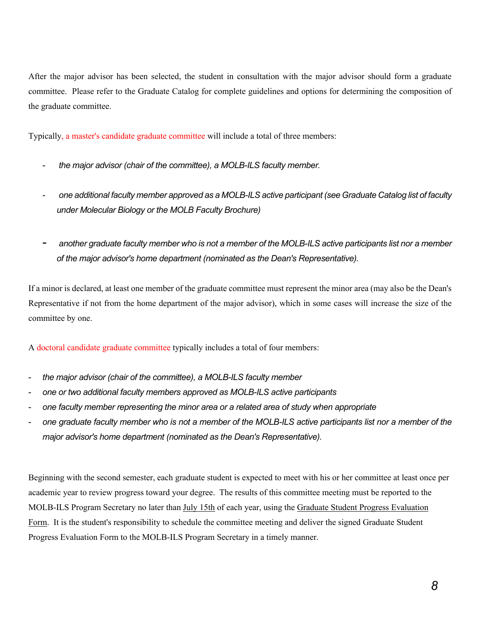After the major advisor has been selected, the student in consultation with the major advisor should form a graduate committee. Please refer to the Graduate Catalog for complete guidelines and options for determining the composition of the graduate committee.

Typically, a master's candidate graduate committee will include a total of three members:

- *the major advisor (chair of the committee), a MOLB-ILS faculty member.*
- *one additional faculty member approved as a MOLB-ILS active participant (see Graduate Catalog list of faculty under Molecular Biology or the MOLB Faculty Brochure)*
- *another graduate faculty member who is not a member of the MOLB-ILS active participants list nor a member of the major advisor's home department (nominated as the Dean's Representative).*

If a minor is declared, at least one member of the graduate committee must represent the minor area (may also be the Dean's Representative if not from the home department of the major advisor), which in some cases will increase the size of the committee by one.

A doctoral candidate graduate committee typically includes a total of four members:

- *the major advisor (chair of the committee), a MOLB-ILS faculty member*
- *one or two additional faculty members approved as MOLB-ILS active participants*
- *one faculty member representing the minor area or a related area of study when appropriate*
- *one graduate faculty member who is not a member of the MOLB-ILS active participants list nor a member of the major advisor's home department (nominated as the Dean's Representative).*

Beginning with the second semester, each graduate student is expected to meet with his or her committee at least once per academic year to review progress toward your degree. The results of this committee meeting must be reported to the MOLB-ILS Program Secretary no later than July 15th of each year, using the Graduate Student Progress Evaluation Form. It is the student's responsibility to schedule the committee meeting and deliver the signed Graduate Student Progress Evaluation Form to the MOLB-ILS Program Secretary in a timely manner.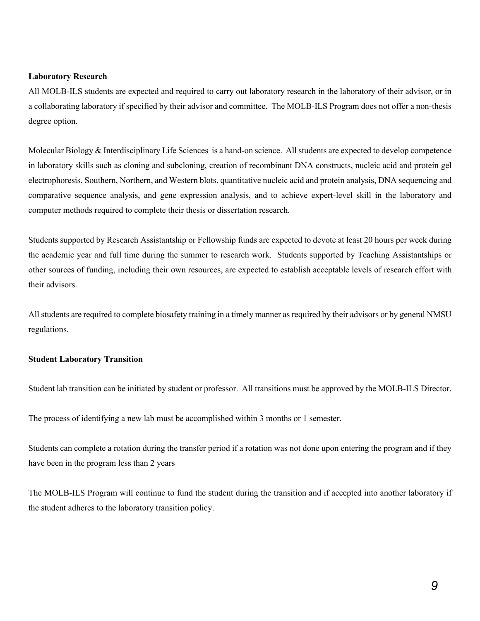#### **Laboratory Research**

All MOLB-ILS students are expected and required to carry out laboratory research in the laboratory of their advisor, or in a collaborating laboratory if specified by their advisor and committee. The MOLB-ILS Program does not offer a non-thesis degree option.

Molecular Biology & Interdisciplinary Life Sciences is a hand-on science. All students are expected to develop competence in laboratory skills such as cloning and subcloning, creation of recombinant DNA constructs, nucleic acid and protein gel electrophoresis, Southern, Northern, and Western blots, quantitative nucleic acid and protein analysis, DNA sequencing and comparative sequence analysis, and gene expression analysis, and to achieve expert-level skill in the laboratory and computer methods required to complete their thesis or dissertation research.

Students supported by Research Assistantship or Fellowship funds are expected to devote at least 20 hours per week during the academic year and full time during the summer to research work. Students supported by Teaching Assistantships or other sources of funding, including their own resources, are expected to establish acceptable levels of research effort with their advisors.

All students are required to complete biosafety training in a timely manner as required by their advisors or by general NMSU regulations.

#### **Student Laboratory Transition**

Student lab transition can be initiated by student or professor. All transitions must be approved by the MOLB-ILS Director.

The process of identifying a new lab must be accomplished within 3 months or 1 semester.

Students can complete a rotation during the transfer period if a rotation was not done upon entering the program and if they have been in the program less than 2 years

The MOLB-ILS Program will continue to fund the student during the transition and if accepted into another laboratory if the student adheres to the laboratory transition policy.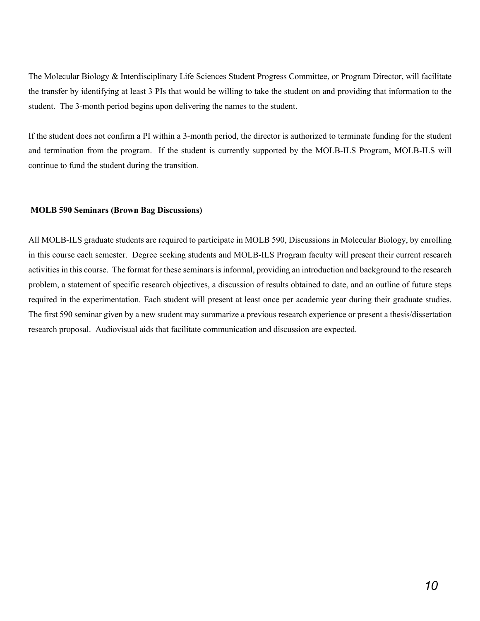The Molecular Biology & Interdisciplinary Life Sciences Student Progress Committee, or Program Director, will facilitate the transfer by identifying at least 3 PIs that would be willing to take the student on and providing that information to the student. The 3-month period begins upon delivering the names to the student.

If the student does not confirm a PI within a 3-month period, the director is authorized to terminate funding for the student and termination from the program. If the student is currently supported by the MOLB-ILS Program, MOLB-ILS will continue to fund the student during the transition.

#### **MOLB 590 Seminars (Brown Bag Discussions)**

All MOLB-ILS graduate students are required to participate in MOLB 590, Discussions in Molecular Biology, by enrolling in this course each semester. Degree seeking students and MOLB-ILS Program faculty will present their current research activities in this course. The format for these seminars is informal, providing an introduction and background to the research problem, a statement of specific research objectives, a discussion of results obtained to date, and an outline of future steps required in the experimentation. Each student will present at least once per academic year during their graduate studies. The first 590 seminar given by a new student may summarize a previous research experience or present a thesis/dissertation research proposal. Audiovisual aids that facilitate communication and discussion are expected.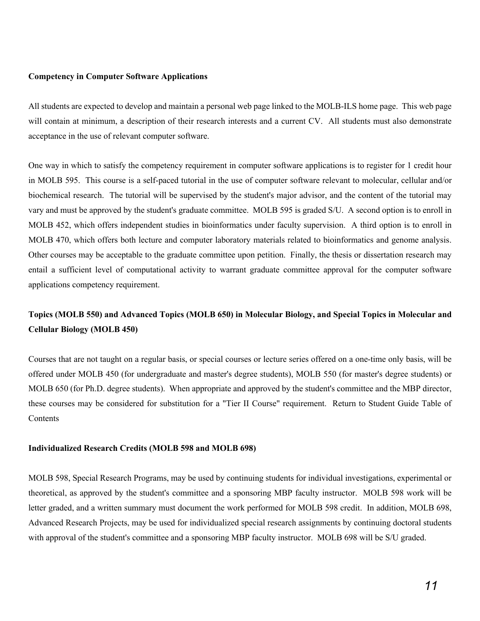#### **Competency in Computer Software Applications**

All students are expected to develop and maintain a personal web page linked to the MOLB-ILS home page. This web page will contain at minimum, a description of their research interests and a current CV. All students must also demonstrate acceptance in the use of relevant computer software.

One way in which to satisfy the competency requirement in computer software applications is to register for 1 credit hour in MOLB 595. This course is a self-paced tutorial in the use of computer software relevant to molecular, cellular and/or biochemical research. The tutorial will be supervised by the student's major advisor, and the content of the tutorial may vary and must be approved by the student's graduate committee. MOLB 595 is graded S/U. A second option is to enroll in MOLB 452, which offers independent studies in bioinformatics under faculty supervision. A third option is to enroll in MOLB 470, which offers both lecture and computer laboratory materials related to bioinformatics and genome analysis. Other courses may be acceptable to the graduate committee upon petition. Finally, the thesis or dissertation research may entail a sufficient level of computational activity to warrant graduate committee approval for the computer software applications competency requirement.

### **Topics (MOLB 550) and Advanced Topics (MOLB 650) in Molecular Biology, and Special Topics in Molecular and Cellular Biology (MOLB 450)**

Courses that are not taught on a regular basis, or special courses or lecture series offered on a one-time only basis, will be offered under MOLB 450 (for undergraduate and master's degree students), MOLB 550 (for master's degree students) or MOLB 650 (for Ph.D. degree students). When appropriate and approved by the student's committee and the MBP director, these courses may be considered for substitution for a "Tier II Course" requirement. Return to Student Guide Table of **Contents** 

#### **Individualized Research Credits (MOLB 598 and MOLB 698)**

MOLB 598, Special Research Programs, may be used by continuing students for individual investigations, experimental or theoretical, as approved by the student's committee and a sponsoring MBP faculty instructor. MOLB 598 work will be letter graded, and a written summary must document the work performed for MOLB 598 credit. In addition, MOLB 698, Advanced Research Projects, may be used for individualized special research assignments by continuing doctoral students with approval of the student's committee and a sponsoring MBP faculty instructor. MOLB 698 will be S/U graded.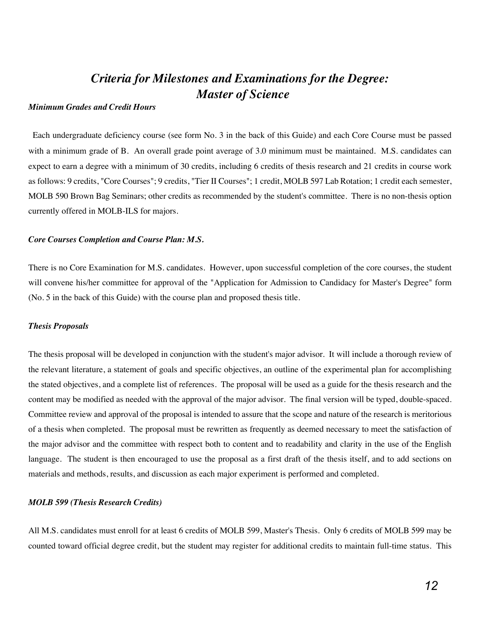## *Criteria for Milestones and Examinations for the Degree: Master of Science*

#### *Minimum Grades and Credit Hours*

Each undergraduate deficiency course (see form No. 3 in the back of this Guide) and each Core Course must be passed with a minimum grade of B. An overall grade point average of 3.0 minimum must be maintained. M.S. candidates can expect to earn a degree with a minimum of 30 credits, including 6 credits of thesis research and 21 credits in course work as follows: 9 credits, "Core Courses"; 9 credits, "Tier II Courses"; 1 credit, MOLB 597 Lab Rotation; 1 credit each semester, MOLB 590 Brown Bag Seminars; other credits as recommended by the student's committee. There is no non-thesis option currently offered in MOLB-ILS for majors.

#### *Core Courses Completion and Course Plan: M.S.*

There is no Core Examination for M.S. candidates. However, upon successful completion of the core courses, the student will convene his/her committee for approval of the "Application for Admission to Candidacy for Master's Degree" form (No. 5 in the back of this Guide) with the course plan and proposed thesis title.

#### *Thesis Proposals*

The thesis proposal will be developed in conjunction with the student's major advisor. It will include a thorough review of the relevant literature, a statement of goals and specific objectives, an outline of the experimental plan for accomplishing the stated objectives, and a complete list of references. The proposal will be used as a guide for the thesis research and the content may be modified as needed with the approval of the major advisor. The final version will be typed, double-spaced. Committee review and approval of the proposal is intended to assure that the scope and nature of the research is meritorious of a thesis when completed. The proposal must be rewritten as frequently as deemed necessary to meet the satisfaction of the major advisor and the committee with respect both to content and to readability and clarity in the use of the English language. The student is then encouraged to use the proposal as a first draft of the thesis itself, and to add sections on materials and methods, results, and discussion as each major experiment is performed and completed.

#### *MOLB 599 (Thesis Research Credits)*

All M.S. candidates must enroll for at least 6 credits of MOLB 599, Master's Thesis. Only 6 credits of MOLB 599 may be counted toward official degree credit, but the student may register for additional credits to maintain full-time status. This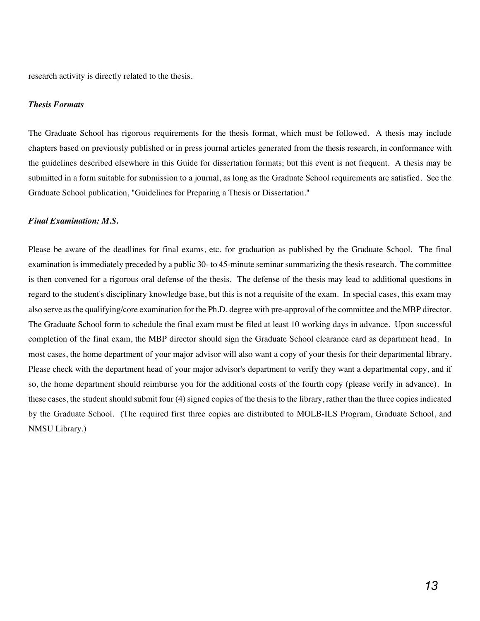research activity is directly related to the thesis.

#### *Thesis Formats*

The Graduate School has rigorous requirements for the thesis format, which must be followed. A thesis may include chapters based on previously published or in press journal articles generated from the thesis research, in conformance with the guidelines described elsewhere in this Guide for dissertation formats; but this event is not frequent. A thesis may be submitted in a form suitable for submission to a journal, as long as the Graduate School requirements are satisfied. See the Graduate School publication, "Guidelines for Preparing a Thesis or Dissertation."

#### *Final Examination: M.S.*

Please be aware of the deadlines for final exams, etc. for graduation as published by the Graduate School. The final examination is immediately preceded by a public 30- to 45-minute seminar summarizing the thesis research. The committee is then convened for a rigorous oral defense of the thesis. The defense of the thesis may lead to additional questions in regard to the student's disciplinary knowledge base, but this is not a requisite of the exam. In special cases, this exam may also serve as the qualifying/core examination for the Ph.D. degree with pre-approval of the committee and the MBP director. The Graduate School form to schedule the final exam must be filed at least 10 working days in advance. Upon successful completion of the final exam, the MBP director should sign the Graduate School clearance card as department head. In most cases, the home department of your major advisor will also want a copy of your thesis for their departmental library. Please check with the department head of your major advisor's department to verify they want a departmental copy, and if so, the home department should reimburse you for the additional costs of the fourth copy (please verify in advance). In these cases, the student should submit four (4) signed copies of the thesis to the library, rather than the three copies indicated by the Graduate School. (The required first three copies are distributed to MOLB-ILS Program, Graduate School, and NMSU Library.)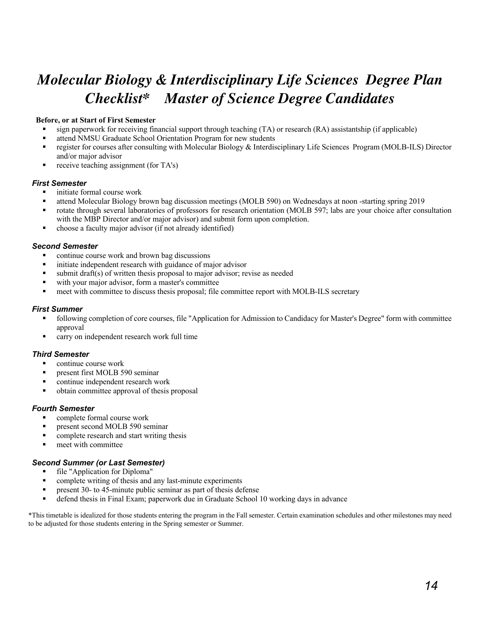# *Molecular Biology & Interdisciplinary Life Sciences Degree Plan Checklist\* Master of Science Degree Candidates*

#### **Before, or at Start of First Semester**

- sign paperwork for receiving financial support through teaching (TA) or research (RA) assistantship (if applicable)
- attend NMSU Graduate School Orientation Program for new students
- register for courses after consulting with Molecular Biology & Interdisciplinary Life Sciences Program (MOLB-ILS) Director and/or major advisor
- receive teaching assignment (for TA's)

#### *First Semester*

- initiate formal course work
- § attend Molecular Biology brown bag discussion meetings (MOLB 590) on Wednesdays at noon -starting spring 2019
- rotate through several laboratories of professors for research orientation (MOLB 597; labs are your choice after consultation with the MBP Director and/or major advisor) and submit form upon completion.
- § choose a faculty major advisor (if not already identified)

#### *Second Semester*

- § continue course work and brown bag discussions
- initiate independent research with guidance of major advisor
- submit draft(s) of written thesis proposal to major advisor; revise as needed
- with your major advisor, form a master's committee
- meet with committee to discuss thesis proposal; file committee report with MOLB-ILS secretary

#### *First Summer*

- following completion of core courses, file "Application for Admission to Candidacy for Master's Degree" form with committee approval
- carry on independent research work full time

#### *Third Semester*

- § continue course work
- present first MOLB 590 seminar
- § continue independent research work
- § obtain committee approval of thesis proposal

#### *Fourth Semester*

- complete formal course work
- § present second MOLB 590 seminar
- § complete research and start writing thesis
- § meet with committee

#### *Second Summer (or Last Semester)*

- file "Application for Diploma"
- complete writing of thesis and any last-minute experiments
- present 30- to 45-minute public seminar as part of thesis defense
- defend thesis in Final Exam; paperwork due in Graduate School 10 working days in advance

\*This timetable is idealized for those students entering the program in the Fall semester. Certain examination schedules and other milestones may need to be adjusted for those students entering in the Spring semester or Summer.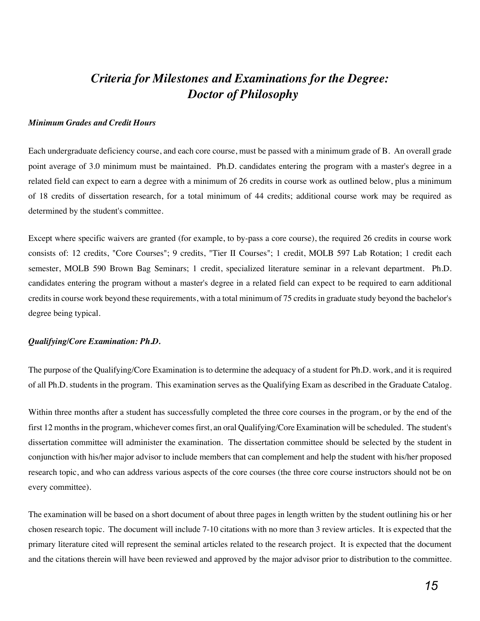## *Criteria for Milestones and Examinations for the Degree: Doctor of Philosophy*

#### *Minimum Grades and Credit Hours*

Each undergraduate deficiency course, and each core course, must be passed with a minimum grade of B. An overall grade point average of 3.0 minimum must be maintained. Ph.D. candidates entering the program with a master's degree in a related field can expect to earn a degree with a minimum of 26 credits in course work as outlined below, plus a minimum of 18 credits of dissertation research, for a total minimum of 44 credits; additional course work may be required as determined by the student's committee.

Except where specific waivers are granted (for example, to by-pass a core course), the required 26 credits in course work consists of: 12 credits, "Core Courses"; 9 credits, "Tier II Courses"; 1 credit, MOLB 597 Lab Rotation; 1 credit each semester, MOLB 590 Brown Bag Seminars; 1 credit, specialized literature seminar in a relevant department. Ph.D. candidates entering the program without a master's degree in a related field can expect to be required to earn additional credits in course work beyond these requirements, with a total minimum of 75 credits in graduate study beyond the bachelor's degree being typical.

#### *Qualifying/Core Examination: Ph.D.*

The purpose of the Qualifying/Core Examination is to determine the adequacy of a student for Ph.D. work, and it is required of all Ph.D. students in the program. This examination serves as the Qualifying Exam as described in the Graduate Catalog.

Within three months after a student has successfully completed the three core courses in the program, or by the end of the first 12 months in the program, whichever comes first, an oral Qualifying/Core Examination will be scheduled. The student's dissertation committee will administer the examination. The dissertation committee should be selected by the student in conjunction with his/her major advisor to include members that can complement and help the student with his/her proposed research topic, and who can address various aspects of the core courses (the three core course instructors should not be on every committee).

The examination will be based on a short document of about three pages in length written by the student outlining his or her chosen research topic. The document will include 7-10 citations with no more than 3 review articles. It is expected that the primary literature cited will represent the seminal articles related to the research project. It is expected that the document and the citations therein will have been reviewed and approved by the major advisor prior to distribution to the committee.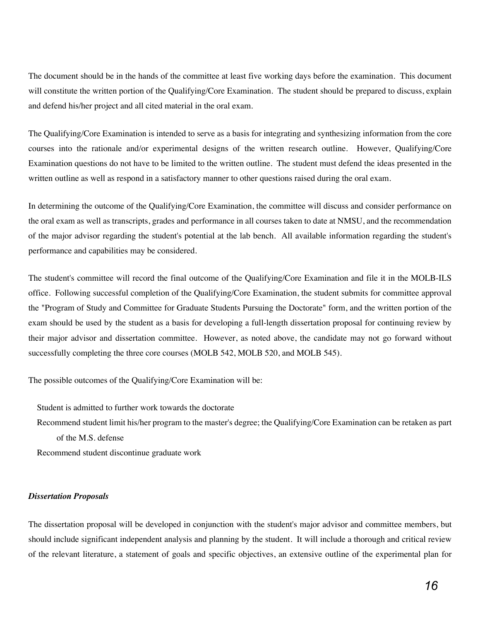The document should be in the hands of the committee at least five working days before the examination. This document will constitute the written portion of the Qualifying/Core Examination. The student should be prepared to discuss, explain and defend his/her project and all cited material in the oral exam.

The Qualifying/Core Examination is intended to serve as a basis for integrating and synthesizing information from the core courses into the rationale and/or experimental designs of the written research outline. However, Qualifying/Core Examination questions do not have to be limited to the written outline. The student must defend the ideas presented in the written outline as well as respond in a satisfactory manner to other questions raised during the oral exam.

In determining the outcome of the Qualifying/Core Examination, the committee will discuss and consider performance on the oral exam as well as transcripts, grades and performance in all courses taken to date at NMSU, and the recommendation of the major advisor regarding the student's potential at the lab bench. All available information regarding the student's performance and capabilities may be considered.

The student's committee will record the final outcome of the Qualifying/Core Examination and file it in the MOLB-ILS office. Following successful completion of the Qualifying/Core Examination, the student submits for committee approval the "Program of Study and Committee for Graduate Students Pursuing the Doctorate" form, and the written portion of the exam should be used by the student as a basis for developing a full-length dissertation proposal for continuing review by their major advisor and dissertation committee. However, as noted above, the candidate may not go forward without successfully completing the three core courses (MOLB 542, MOLB 520, and MOLB 545).

The possible outcomes of the Qualifying/Core Examination will be:

Student is admitted to further work towards the doctorate

Recommend student limit his/her program to the master's degree; the Qualifying/Core Examination can be retaken as part of the M.S. defense

Recommend student discontinue graduate work

#### *Dissertation Proposals*

The dissertation proposal will be developed in conjunction with the student's major advisor and committee members, but should include significant independent analysis and planning by the student. It will include a thorough and critical review of the relevant literature, a statement of goals and specific objectives, an extensive outline of the experimental plan for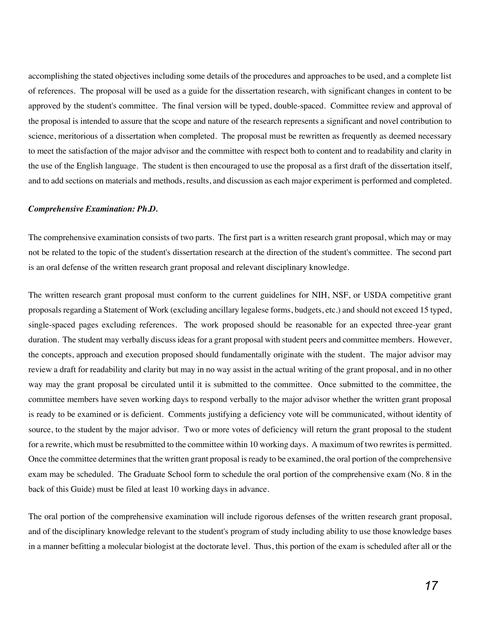accomplishing the stated objectives including some details of the procedures and approaches to be used, and a complete list of references. The proposal will be used as a guide for the dissertation research, with significant changes in content to be approved by the student's committee. The final version will be typed, double-spaced. Committee review and approval of the proposal is intended to assure that the scope and nature of the research represents a significant and novel contribution to science, meritorious of a dissertation when completed. The proposal must be rewritten as frequently as deemed necessary to meet the satisfaction of the major advisor and the committee with respect both to content and to readability and clarity in the use of the English language. The student is then encouraged to use the proposal as a first draft of the dissertation itself, and to add sections on materials and methods, results, and discussion as each major experiment is performed and completed.

#### *Comprehensive Examination: Ph.D.*

The comprehensive examination consists of two parts. The first part is a written research grant proposal, which may or may not be related to the topic of the student's dissertation research at the direction of the student's committee. The second part is an oral defense of the written research grant proposal and relevant disciplinary knowledge.

The written research grant proposal must conform to the current guidelines for NIH, NSF, or USDA competitive grant proposals regarding a Statement of Work (excluding ancillary legalese forms, budgets, etc.) and should not exceed 15 typed, single-spaced pages excluding references. The work proposed should be reasonable for an expected three-year grant duration. The student may verbally discuss ideas for a grant proposal with student peers and committee members. However, the concepts, approach and execution proposed should fundamentally originate with the student. The major advisor may review a draft for readability and clarity but may in no way assist in the actual writing of the grant proposal, and in no other way may the grant proposal be circulated until it is submitted to the committee. Once submitted to the committee, the committee members have seven working days to respond verbally to the major advisor whether the written grant proposal is ready to be examined or is deficient. Comments justifying a deficiency vote will be communicated, without identity of source, to the student by the major advisor. Two or more votes of deficiency will return the grant proposal to the student for a rewrite, which must be resubmitted to the committee within 10 working days. A maximum of two rewrites is permitted. Once the committee determines that the written grant proposal is ready to be examined, the oral portion of the comprehensive exam may be scheduled. The Graduate School form to schedule the oral portion of the comprehensive exam (No. 8 in the back of this Guide) must be filed at least 10 working days in advance.

The oral portion of the comprehensive examination will include rigorous defenses of the written research grant proposal, and of the disciplinary knowledge relevant to the student's program of study including ability to use those knowledge bases in a manner befitting a molecular biologist at the doctorate level. Thus, this portion of the exam is scheduled after all or the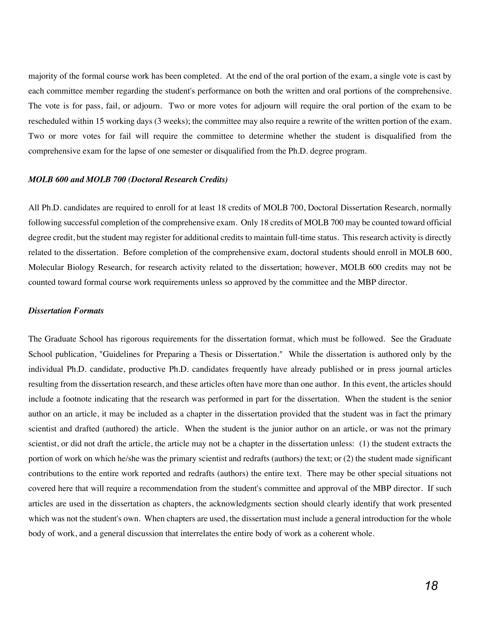majority of the formal course work has been completed. At the end of the oral portion of the exam, a single vote is cast by each committee member regarding the student's performance on both the written and oral portions of the comprehensive. The vote is for pass, fail, or adjourn. Two or more votes for adjourn will require the oral portion of the exam to be rescheduled within 15 working days (3 weeks); the committee may also require a rewrite of the written portion of the exam. Two or more votes for fail will require the committee to determine whether the student is disqualified from the comprehensive exam for the lapse of one semester or disqualified from the Ph.D. degree program.

#### *MOLB 600 and MOLB 700 (Doctoral Research Credits)*

All Ph.D. candidates are required to enroll for at least 18 credits of MOLB 700, Doctoral Dissertation Research, normally following successful completion of the comprehensive exam. Only 18 credits of MOLB 700 may be counted toward official degree credit, but the student may register for additional credits to maintain full-time status. This research activity is directly related to the dissertation. Before completion of the comprehensive exam, doctoral students should enroll in MOLB 600, Molecular Biology Research, for research activity related to the dissertation; however, MOLB 600 credits may not be counted toward formal course work requirements unless so approved by the committee and the MBP director.

#### *Dissertation Formats*

The Graduate School has rigorous requirements for the dissertation format, which must be followed. See the Graduate School publication, "Guidelines for Preparing a Thesis or Dissertation." While the dissertation is authored only by the individual Ph.D. candidate, productive Ph.D. candidates frequently have already published or in press journal articles resulting from the dissertation research, and these articles often have more than one author. In this event, the articles should include a footnote indicating that the research was performed in part for the dissertation. When the student is the senior author on an article, it may be included as a chapter in the dissertation provided that the student was in fact the primary scientist and drafted (authored) the article. When the student is the junior author on an article, or was not the primary scientist, or did not draft the article, the article may not be a chapter in the dissertation unless: (1) the student extracts the portion of work on which he/she was the primary scientist and redrafts (authors) the text; or (2) the student made significant contributions to the entire work reported and redrafts (authors) the entire text. There may be other special situations not covered here that will require a recommendation from the student's committee and approval of the MBP director. If such articles are used in the dissertation as chapters, the acknowledgments section should clearly identify that work presented which was not the student's own. When chapters are used, the dissertation must include a general introduction for the whole body of work, and a general discussion that interrelates the entire body of work as a coherent whole.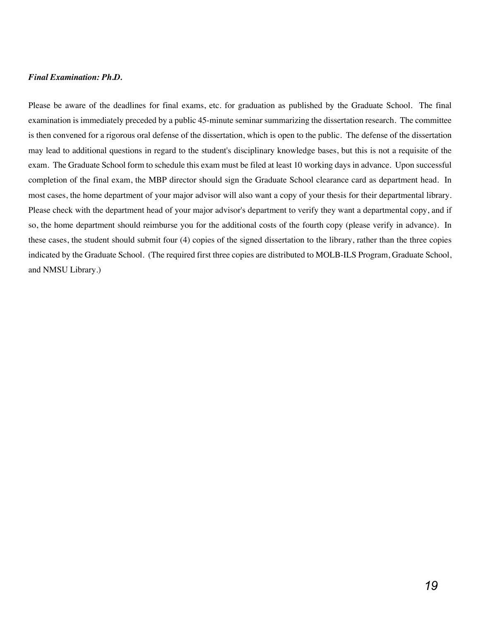#### *Final Examination: Ph.D.*

Please be aware of the deadlines for final exams, etc. for graduation as published by the Graduate School. The final examination is immediately preceded by a public 45-minute seminar summarizing the dissertation research. The committee is then convened for a rigorous oral defense of the dissertation, which is open to the public. The defense of the dissertation may lead to additional questions in regard to the student's disciplinary knowledge bases, but this is not a requisite of the exam. The Graduate School form to schedule this exam must be filed at least 10 working days in advance. Upon successful completion of the final exam, the MBP director should sign the Graduate School clearance card as department head. In most cases, the home department of your major advisor will also want a copy of your thesis for their departmental library. Please check with the department head of your major advisor's department to verify they want a departmental copy, and if so, the home department should reimburse you for the additional costs of the fourth copy (please verify in advance). In these cases, the student should submit four (4) copies of the signed dissertation to the library, rather than the three copies indicated by the Graduate School. (The required first three copies are distributed to MOLB-ILS Program, Graduate School, and NMSU Library.)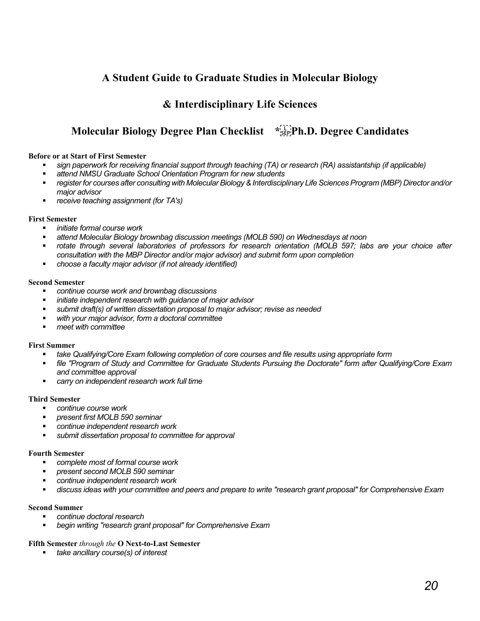## **A Student Guide to Graduate Studies in Molecular Biology**

## **& Interdisciplinary Life Sciences**

## **Molecular Biology Degree Plan Checklist \*
Ph.D. Degree Candidates**

#### **Before or at Start of First Semester**

- § *sign paperwork for receiving financial support through teaching (TA) or research (RA) assistantship (if applicable)*
- *attend NMSU Graduate School Orientation Program for new students*
- § *register for courses after consulting with Molecular Biology & Interdisciplinary Life Sciences Program (MBP) Director and/or major advisor*
- § *receive teaching assignment (for TA's)*

#### **First Semester**

- § *initiate formal course work*
- § *attend Molecular Biology brownbag discussion meetings (MOLB 590) on Wednesdays at noon*
- § *rotate through several laboratories of professors for research orientation (MOLB 597; labs are your choice after consultation with the MBP Director and/or major advisor) and submit form upon completion*
- § *choose a faculty major advisor (if not already identified)*

#### **Second Semester**

- § *continue course work and brownbag discussions*
- § *initiate independent research with guidance of major advisor*
- § *submit draft(s) of written dissertation proposal to major advisor; revise as needed*
- § *with your major advisor, form a doctoral committee*
- § *meet with committee*

#### **First Summer**

- § *take Qualifying/Core Exam following completion of core courses and file results using appropriate form*
- § *file "Program of Study and Committee for Graduate Students Pursuing the Doctorate" form after Qualifying/Core Exam and committee approval*
- § *carry on independent research work full time*

#### **Third Semester**

- § *continue course work*
- § *present first MOLB 590 seminar*
- § *continue independent research work*
- § *submit dissertation proposal to committee for approval*

#### **Fourth Semester**

- § *complete most of formal course work*
- § *present second MOLB 590 seminar*
- § *continue independent research work*
- § *discuss ideas with your committee and peers and prepare to write "research grant proposal" for Comprehensive Exam*

#### **Second Summer**

- § *continue doctoral research*
- § *begin writing "research grant proposal" for Comprehensive Exam*

#### **Fifth Semester** *through the* **O Next-to-Last Semester**

§ *take ancillary course(s) of interest*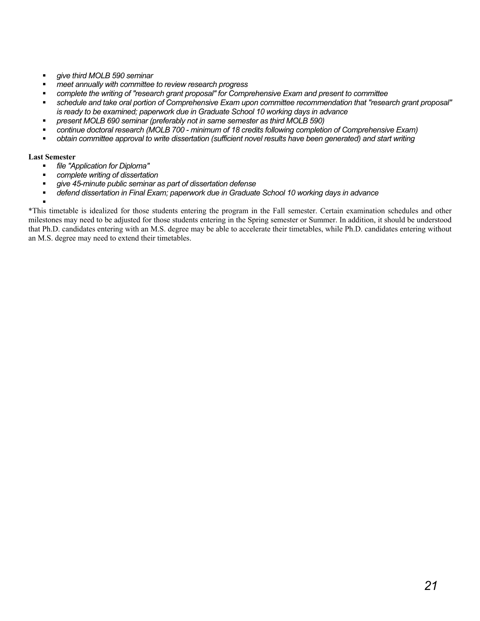- § *give third MOLB 590 seminar*
- *meet annually with committee to review research progress*
- § *complete the writing of "research grant proposal" for Comprehensive Exam and present to committee*
- § *schedule and take oral portion of Comprehensive Exam upon committee recommendation that "research grant proposal" is ready to be examined; paperwork due in Graduate School 10 working days in advance*
- § *present MOLB 690 seminar (preferably not in same semester as third MOLB 590)*
- § *continue doctoral research (MOLB 700 minimum of 18 credits following completion of Comprehensive Exam)*
- § *obtain committee approval to write dissertation (sufficient novel results have been generated) and start writing*

#### **Last Semester**

§

- § *file "Application for Diploma"*
- *complete writing of dissertation*
- § *give 45-minute public seminar as part of dissertation defense*
- § *defend dissertation in Final Exam; paperwork due in Graduate School 10 working days in advance*

\*This timetable is idealized for those students entering the program in the Fall semester. Certain examination schedules and other milestones may need to be adjusted for those students entering in the Spring semester or Summer. In addition, it should be understood that Ph.D. candidates entering with an M.S. degree may be able to accelerate their timetables, while Ph.D. candidates entering without an M.S. degree may need to extend their timetables.